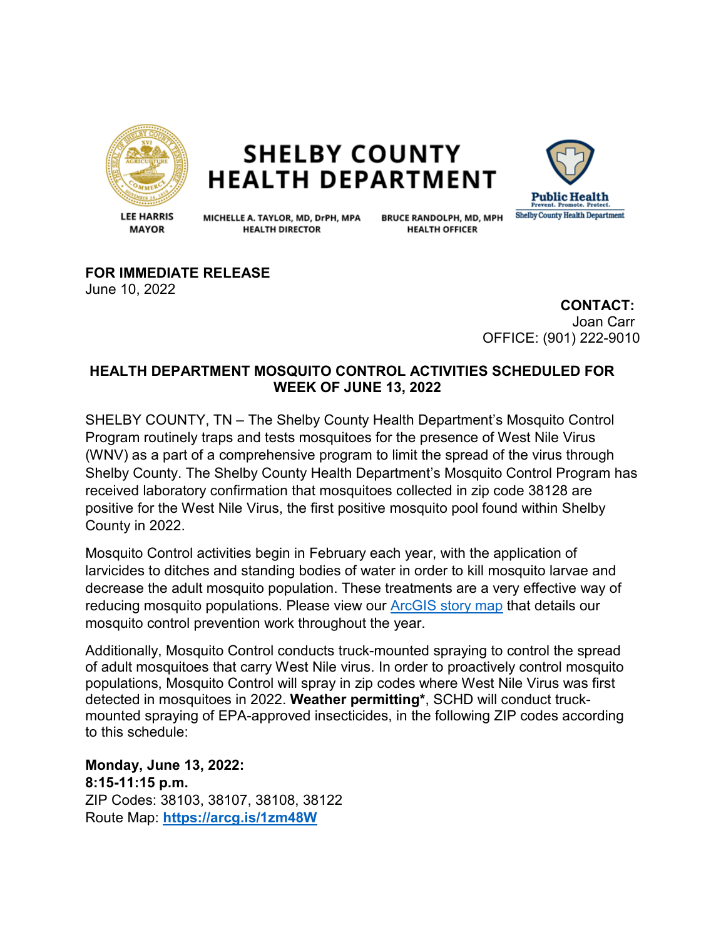

## **SHELBY COUNTY HEALTH DEPARTMENT**



**LEE HARRIS MAYOR** 

MICHELLE A. TAYLOR, MD, DrPH, MPA **HEALTH DIRECTOR** 

**BRUCE RANDOLPH, MD, MPH HEALTH OFFICER** 

**FOR IMMEDIATE RELEASE** June 10, 2022

> **CONTACT:** Joan Carr OFFICE: (901) 222-9010

## **HEALTH DEPARTMENT MOSQUITO CONTROL ACTIVITIES SCHEDULED FOR WEEK OF JUNE 13, 2022**

SHELBY COUNTY, TN – The Shelby County Health Department's Mosquito Control Program routinely traps and tests mosquitoes for the presence of West Nile Virus (WNV) as a part of a comprehensive program to limit the spread of the virus through Shelby County. The Shelby County Health Department's Mosquito Control Program has received laboratory confirmation that mosquitoes collected in zip code 38128 are positive for the West Nile Virus, the first positive mosquito pool found within Shelby County in 2022.

Mosquito Control activities begin in February each year, with the application of larvicides to ditches and standing bodies of water in order to kill mosquito larvae and decrease the adult mosquito population. These treatments are a very effective way of reducing mosquito populations. Please view our [ArcGIS story map](https://storymaps.arcgis.com/stories/135f4980f2f145b58b53e54fd497181d) that details our mosquito control prevention work throughout the year.

Additionally, Mosquito Control conducts truck-mounted spraying to control the spread of adult mosquitoes that carry West Nile virus. In order to proactively control mosquito populations, Mosquito Control will spray in zip codes where West Nile Virus was first detected in mosquitoes in 2022. **Weather permitting\***, SCHD will conduct truckmounted spraying of EPA-approved insecticides, in the following ZIP codes according to this schedule:

**Monday, June 13, 2022: 8:15-11:15 p.m.**  ZIP Codes: 38103, 38107, 38108, 38122 Route Map: **<https://arcg.is/1zm48W>**